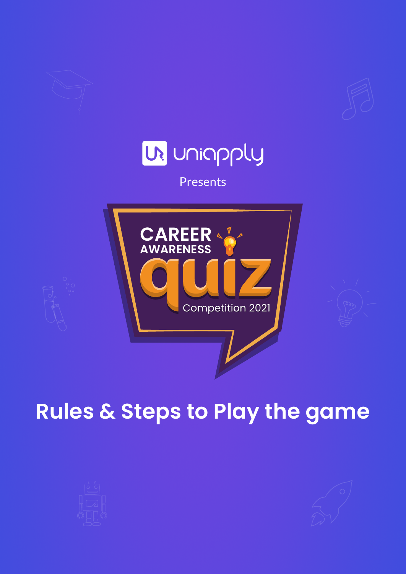

# **Rules & Steps to Play the game**



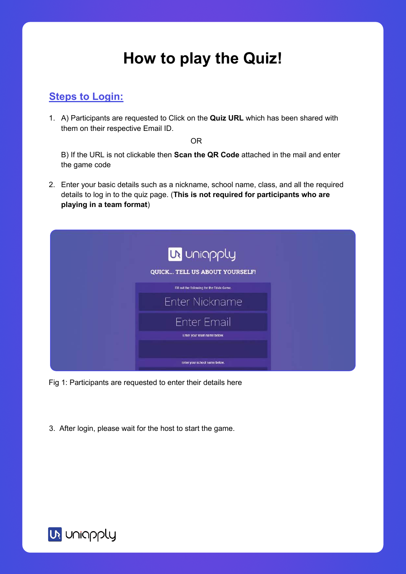## **How to play the Quiz!**

#### **Steps to Login:**

1. A) Participants are requested to Click on the **Quiz URL** which has been shared with them on their respective Email ID.

OR

B) If the URL is not clickable then **Scan the QR Code** attached in the mail and enter the game code

2. Enter your basic details such as a nickname, school name, class, and all the required details to log in to the quiz page. (**This is not required for participants who are playing in a team format**)

| <b>UN</b> Uniapply                          |
|---------------------------------------------|
| QUICK TELL US ABOUT YOURSELF!               |
| Fill out the following for the Trivia Game. |
| <b>Enter Nickname</b>                       |
| <b>Enter Email</b>                          |
| Enter your team name below.                 |
|                                             |
| Enter your school name below.               |

Fig 1: Participants are requested to enter their details here

3. After login, please wait for the host to start the game.

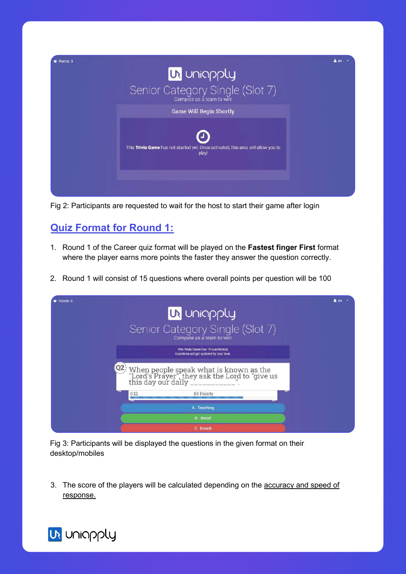

Fig 2: Participants are requested to wait for the host to start their game after login

### **Quiz Format for Round 1:**

- 1. Round 1 of the Career quiz format will be played on the **Fastest finger First** format where the player earns more points the faster they answer the question correctly.
- 2. Round 1 will consist of 15 questions where overall points per question will be 100

| UR Uniapply<br>Senior Category Single (Slot 7)<br>Compete as a team to win!                                             | 200       |
|-------------------------------------------------------------------------------------------------------------------------|-----------|
| This Trivia Game has 15 question(s).<br>Questions will get updated by your host.                                        |           |
| When people speak what is known as the "Lord's Prayer", they ask the Lord to "give us this day our daily ____________". |           |
| 80 Points<br>0:12                                                                                                       |           |
| A. Teaching                                                                                                             |           |
| <b>B.</b> Bread                                                                                                         |           |
|                                                                                                                         | C. Breath |

Fig 3: Participants will be displayed the questions in the given format on their desktop/mobiles

3. The score of the players will be calculated depending on the accuracy and speed of response.